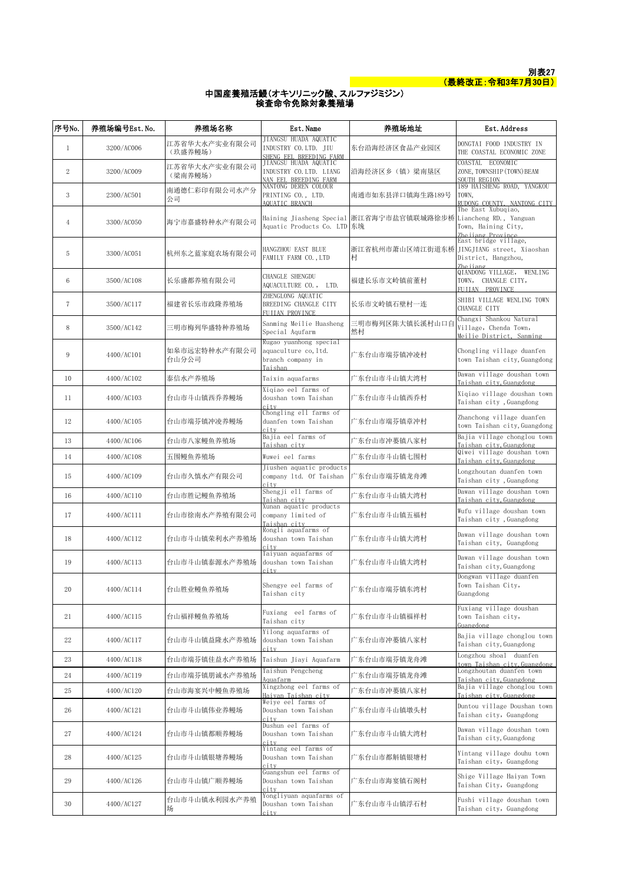

## 中国産養殖活鰻(オキソリニック酸、スルファジミジン) 検査命令免除対象養殖場

| 序号No.          | 养殖场编号Est.No. | 养殖场名称                    | Est. Name                                                                                            | 养殖场地址                                                           | Est. Address                                                                 |
|----------------|--------------|--------------------------|------------------------------------------------------------------------------------------------------|-----------------------------------------------------------------|------------------------------------------------------------------------------|
| $\mathbf{1}$   | 3200/AC006   | 江苏省华大水产实业有限公司<br>(玖盛养鳗场) | JIANGSU HUADA AQUATIC<br>INDUSTRY CO.LTD. JIU                                                        | 东台沿海经济区食品产业园区                                                   | DONGTAI FOOD INDUSTRY IN<br>THE COASTAL ECONOMIC ZONE                        |
| $\overline{2}$ | 3200/AC009   | 江苏省华大水产实业有限公司<br>(梁南养鳗场) | SHENG EEL BREEDING FARM<br>JIANGSU HUADA AQUATIC<br>INDUSTRY CO. LTD. LIANG<br>NAN EEL BREEDING FARM | 沿海经济区乡(镇)梁南垦区                                                   | COASTAL ECONOMIC<br>ZONE, TOWNSHIP (TOWN) BEAM<br><b>SOUTH REGION</b>        |
| 3              | 2300/AC501   | 南通德仁彩印有限公司水产分<br>公司      | NANTONG DEREN COLOUR<br>PRINTING CO., LTD.<br>AQUATIC BRANCH                                         | 南通市如东县洋口镇海生路189号                                                | 189 HAISHENG ROAD, YANGKOU<br>TOWN,<br>RUDONG COUNTY, NANTONG CITY           |
| $\overline{4}$ | 3300/AC050   | 海宁市嘉盛特种水产有限公司            | Aquatic Products Co. LTD 东堍                                                                          | Haining Jiasheng Special 浙江省海宁市盐官镇联城路徐步桥 Liancheng RD., Yanguan | The East Xubuqiao,<br>Town, Haining City,<br>Zhejiang Province               |
| 5              | 3300/AC051   | 杭州东之蓝家庭农场有限公司            | HANGZHOU EAST BLUE<br>FAMILY FARM CO., LTD                                                           | 浙江省杭州市萧山区靖江街道东桥 JINGJIANG street, Xiaoshan<br>村                 | East bridge village,<br>District, Hangzhou,<br>Zhe iiang                     |
| 6              | 3500/AC108   | 长乐盛都养殖有限公司               | CHANGLE SHENGDU<br>AQUACULTURE CO.,<br>LTD.                                                          | 福建长乐市文岭镇前董村                                                     | QIANDONG VILLAGE,<br>WENLING<br>TOWN, CHANGLE CITY,<br>FUITAN PROVINCE       |
| $\overline{7}$ | 3500/AC117   | 福建省长乐市政隆养殖场              | ZHENGLONG AQUATIC<br>BREEDING CHANGLE CITY<br>FUILAN PROVINCE                                        | 长乐市文岭镇石壁村一连                                                     | SHIBI VILLAGE WENLING TOWN<br>CHANGLE CITY                                   |
| 8              | 3500/AC142   | 三明市梅列华盛特种养殖场             | Sanming Meilie Huasheng<br>Special Aqufarm                                                           | 三明市梅列区陈大镇长溪村山口自<br>然村                                           | Changxi Shankou Natural<br>Village, Chenda Town,<br>Meilie District, Sanming |
| 9              | 4400/AC101   | 如皋市远宏特种水产有限公司<br>台山分公司   | Rugao yuanhong special<br>aquaculture co, ltd.<br>branch company in<br>Taishan                       | 广东台山市端芬镇冲凌村                                                     | Chongling village duanfen<br>town Taishan city, Guangdong                    |
| 10             | 4400/AC102   | 泰信水产养殖场                  | Taixin aquafarms                                                                                     | 广东台山市斗山镇大湾村                                                     | Dawan village doushan town<br>Taishan city, Guangdong                        |
| 11             | 4400/AC103   | 台山市斗山镇西乔养鳗场              | Xigiao eel farms of<br>doushan town Taishan<br>city                                                  | 广东台山市斗山镇西乔村                                                     | Xiqiao village doushan town<br>Taishan city, Guangdong                       |
| 12             | 4400/AC105   | 台山市端芬镇冲凌养鳗场              | Chongling ell farms of<br>duanfen town Taishan<br>city                                               | 广东台山市端芬镇章冲村                                                     | Zhanchong village duanfen<br>town Taishan city, Guangdong                    |
| 13             | 4400/AC106   | 台山市八家鳗鱼养殖场               | Bajia eel farms of<br>Taishan city                                                                   | 广东台山市冲蒌镇八家村                                                     | Bajia village chonglou town<br>Taishan city, Guangdong                       |
| 14             | 4400/AC108   | 五围鳗鱼养殖场                  | Wuwei eel farms                                                                                      | 广东台山市斗山镇七围村                                                     | Qiwei village doushan town<br>Taishan city, Guangdong                        |
| 15             | 4400/AC109   | 台山市久慎水产有限公司              | Jiushen aquatic products<br>company 1td. Of Taishan<br>city                                          | 广东台山市端芬镇龙舟滩                                                     | Longzhoutan duanfen town<br>Taishan city, Guangdong                          |
| 16             | 4400/AC110   | 台山市胜记鳗鱼养殖场               | Shengji ell farms of<br>Taishan city                                                                 | 广东台山市斗山镇大湾村                                                     | Dawan village doushan town<br>Taishan city, Guangdong                        |
| 17             | 4400/AC111   | 台山市徐南水产养殖有限公司            | Xunan aquatic products<br>company limited of<br>Taishan city                                         | 广东台山市斗山镇五福村                                                     | Wufu village doushan town<br>Taishan city, Guangdong                         |
| 18             | 4400/AC112   | 台山市斗山镇荣利水产养殖场            | Rongli aquafarms of<br>doushan town Taishan<br>city                                                  | 广东台山市斗山镇大湾村                                                     | Dawan village doushan town<br>Taishan city, Guangdong                        |
| 19             | 4400/AC113   | 台山市斗山镇泰源水产养殖场            | Taiyuan aquafarms of<br>doushan town Taishan<br>citv                                                 | 广东台山市斗山镇大湾村                                                     | Dawan village doushan town<br>Taishan city, Guangdong                        |
| 20             | 4400/AC114   | 台山胜业鳗鱼养殖场                | Shengye eel farms of<br>Taishan city                                                                 | 广东台山市端芬镇 <mark>东湾</mark> 村                                      | Dongwan village duanfen<br>Town Taishan City,<br>Guangdong                   |
| 21             | 4400/AC115   | 台山福祥鳗鱼养殖场                | Fuxiang eel farms of<br>Taishan city                                                                 | 广东台山市斗山镇福祥村                                                     | Fuxiang village doushan<br>town Taishan city,<br>Guangdong                   |
| 22             | 4400/AC117   | 台山市斗山镇益隆水产养殖场            | Yilong aquafarms of<br>doushan town Taishan<br>city                                                  | 广东台山市冲蒌镇八家村                                                     | Bajia village chonglou town<br>Taishan city, Guangdong                       |
| 23             | 4400/AC118   | 台山市端芬镇佳益水产养殖场            | Taishun Jiayi Aquafarm                                                                               | 广东台山市端芬镇龙舟滩                                                     | Longzhou shoal duanfen<br>town Taishan city, Guangdong                       |
| 24             | 4400/AC119   | 台山市端芬镇朋诚水产养殖场            | Taishun Pengcheng<br>Aquafarm                                                                        | 广东台山市端芬镇龙舟滩                                                     | Longzhoutan duanfen town<br>Taishan city, Guangdong                          |
| 25             | 4400/AC120   | 台山市海宴兴中鳗鱼养殖场             | Xingzhong eel farms of<br>Haivan Taishan city                                                        | 广东台山市冲蒌镇八家村                                                     | Bajia village chonglou town<br>Taishan city, Guangdong                       |
| 26             | 4400/AC121   | 台山市斗山镇伟业养鳗场              | Weiye eel farms of<br>Doushan town Taishan<br>city                                                   | 广东台山市斗山镇墩头村                                                     | Duntou village Doushan town<br>Taishan city, Guangdong                       |
| 27             | 4400/AC124   | 台山市斗山镇都顺养鳗场              | Dushun eel farms of<br>Doushan town Taishan<br>city                                                  | 广东台山市斗山镇大湾村                                                     | Dawan village doushan town<br>Taishan city, Guangdong                        |
| 28             | 4400/AC125   | 台山市斗山镇银塘养鳗场              | Yintang eel farms of<br>Doushan town Taishan<br>city                                                 | 广东台山市都斛镇银塘村                                                     | Yintang village douhu town<br>Taishan city, Guangdong                        |
| 29             | 4400/AC126   | 台山市斗山镇广顺养鳗场              | Guangshun eel farms of<br>Doushan town Taishan<br>city                                               | 广东台山市海宴镇石阁村                                                     | Shige Village Haiyan Town<br>Taishan City, Guangdong                         |
| 30             | 4400/AC127   | 台山市斗山镇永利园水产养殖            | Yongliyuan aquafarms of<br>Doushan town Taishan<br>city                                              | 广东台山市斗山镇浮石村                                                     | Fushi village doushan town<br>Taishan city, Guangdong                        |